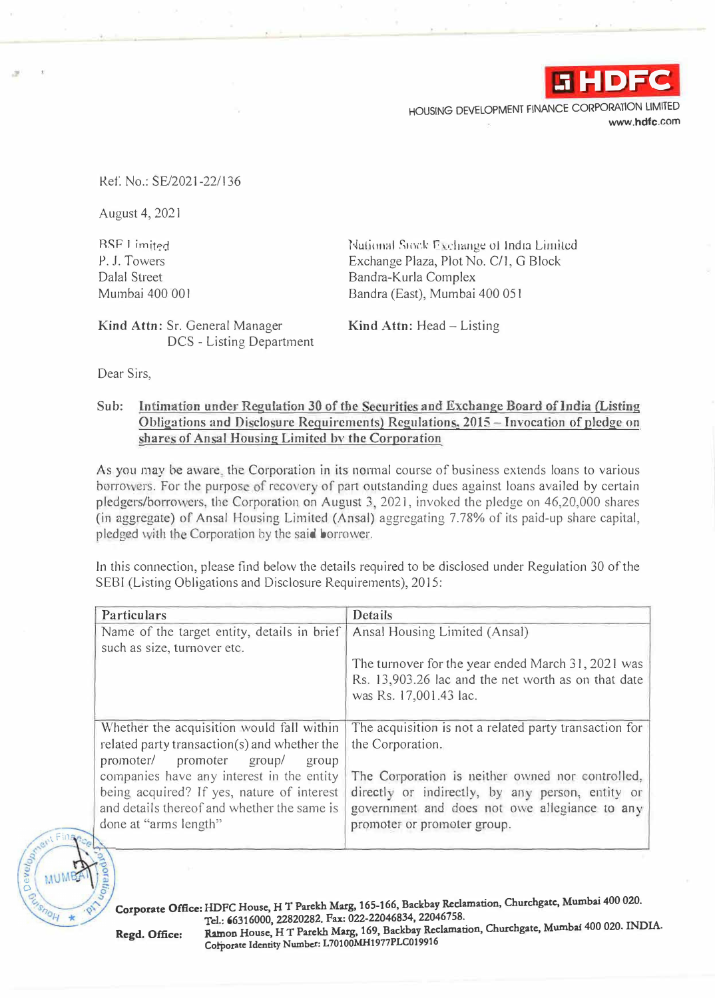

HOUSING DEVELOPMENT FINANCE CORPORATION LIMITED www.hdfc.com

ReL No.: SE/2021-22/136

August 4, 202 l

RSF I imited P. J. Towers Dalal Street Mumbai 400 001

National Stock Exchange of India Limited. Exchange Plaza, Plot No. C/1, G Block Bandra-Kurla Complex Bandra (East), Mumbai 400 051

Kind Attn: Sr. General Manager DCS - Listing Department Kind Attn: Head - Listing

Dear Sirs,

## Sub: Intimation under Regulation 30 of the Securities and Exchange Board of India (Listing Obligations and Disclosure Requirements) Regulations, 2015 - Invocation of pledge on shares of Ansal Housing Limited by the Corporation

As you may be aware, the Corporation in its normal course of business extends loans to various borrowers. For the purpose of recovery of part outstanding dues against loans availed by certain pledgers/borrowers, the Corporation on August 3, 2021, invoked the pledge on  $46,20,000$  shares (in aggregate) of Ansal Housing Limited (Ansal) aggregating 7.78% of its paid-up share capital, pledged with the Corporation by the said borrower.

In this connection, please find below the details required to be disclosed under Regulation 30 of the SEBI (Listing Obligations and Disclosure Requirements), 2015:

| Particulars                                                                                                                                                                                              | Details                                                                                                                                                                              |
|----------------------------------------------------------------------------------------------------------------------------------------------------------------------------------------------------------|--------------------------------------------------------------------------------------------------------------------------------------------------------------------------------------|
| Name of the target entity, details in brief<br>such as size, turnover etc.                                                                                                                               | Ansal Housing Limited (Ansal)                                                                                                                                                        |
|                                                                                                                                                                                                          | The turnover for the year ended March 31, 2021 was<br>Rs. 13,903.26 lac and the net worth as on that date<br>was Rs. 17,001.43 lac.                                                  |
| Whether the acquisition would fall within<br>related party transaction(s) and whether the                                                                                                                | The acquisition is not a related party transaction for<br>the Corporation.                                                                                                           |
| promoter/<br>promoter group/<br>group<br>companies have any interest in the entity<br>being acquired? If yes, nature of interest<br>and details thereof and whether the same is<br>done at "arms length" | The Corporation is neither owned nor controlled,<br>directly or indirectly, by any person, entity or<br>government and does not owe allegiance to any<br>promoter or promoter group. |

**Corporate Office: HDFC House, HT Parekh Marg, 165-166, Backbay Retlamation, Churchgatc, Mumbai 400 020. Tel.: 66316000, 22820282. Fax: 022-22046834, 22046758. Ramon House, HT Parekh Marg, 169, Backbay Reclamation, Churchgate, Mumbai 400 020. INDIA. Regd. Office:** Ramon House, H T Parekh Marg, 169, Backbay Kec<br>Corporate Identity Number: L70100MH1977PLC019916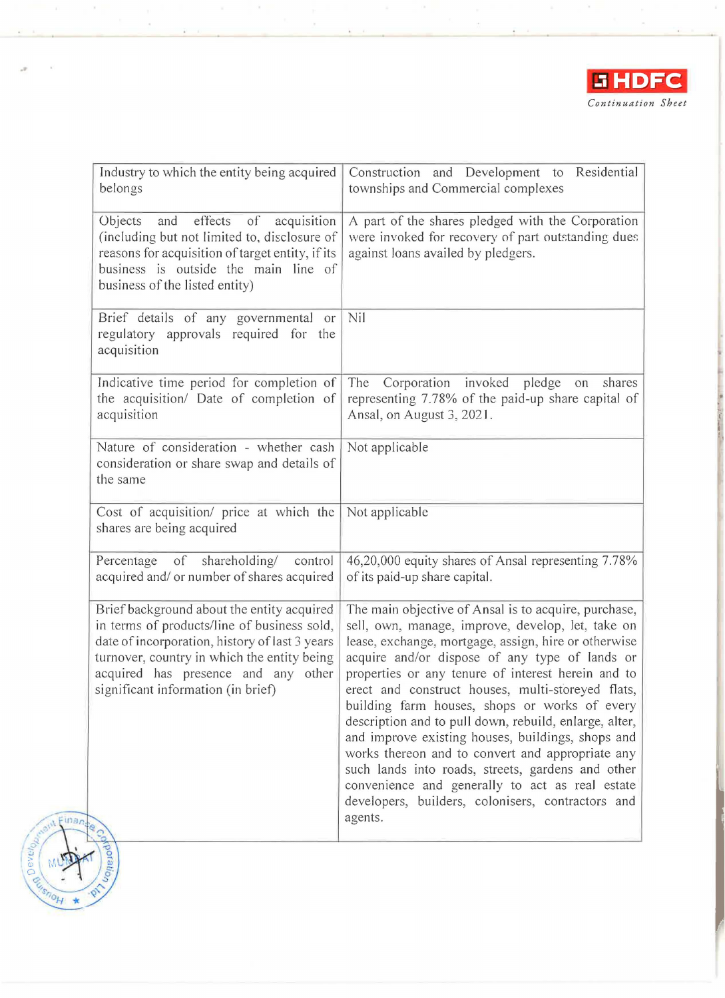

| Industry to which the entity being acquired<br>belongs                                                                                                                                                                                                                  | Construction and Development to Residential<br>townships and Commercial complexes                                                                                                                                                                                                                                                                                                                                                                                                                                                                                                                                                                                                                                          |
|-------------------------------------------------------------------------------------------------------------------------------------------------------------------------------------------------------------------------------------------------------------------------|----------------------------------------------------------------------------------------------------------------------------------------------------------------------------------------------------------------------------------------------------------------------------------------------------------------------------------------------------------------------------------------------------------------------------------------------------------------------------------------------------------------------------------------------------------------------------------------------------------------------------------------------------------------------------------------------------------------------------|
| effects of<br>Objects<br>and<br>acquisition<br>(including but not limited to, disclosure of<br>reasons for acquisition of target entity, if its<br>business is outside the main line of<br>business of the listed entity)                                               | A part of the shares pledged with the Corporation<br>were invoked for recovery of part outstanding dues<br>against loans availed by pledgers.                                                                                                                                                                                                                                                                                                                                                                                                                                                                                                                                                                              |
| Brief details of any governmental or<br>regulatory approvals required for the<br>acquisition                                                                                                                                                                            | Nil                                                                                                                                                                                                                                                                                                                                                                                                                                                                                                                                                                                                                                                                                                                        |
| Indicative time period for completion of<br>the acquisition/ Date of completion of<br>acquisition                                                                                                                                                                       | The Corporation invoked<br>shares<br>pledge<br>on<br>representing 7.78% of the paid-up share capital of<br>Ansal, on August 3, 2021.                                                                                                                                                                                                                                                                                                                                                                                                                                                                                                                                                                                       |
| Nature of consideration - whether cash<br>consideration or share swap and details of<br>the same                                                                                                                                                                        | Not applicable                                                                                                                                                                                                                                                                                                                                                                                                                                                                                                                                                                                                                                                                                                             |
| Cost of acquisition/ price at which the<br>shares are being acquired                                                                                                                                                                                                    | Not applicable                                                                                                                                                                                                                                                                                                                                                                                                                                                                                                                                                                                                                                                                                                             |
| of<br>shareholding/<br>Percentage<br>control<br>acquired and/ or number of shares acquired                                                                                                                                                                              | 46,20,000 equity shares of Ansal representing 7.78%<br>of its paid-up share capital.                                                                                                                                                                                                                                                                                                                                                                                                                                                                                                                                                                                                                                       |
| Brief background about the entity acquired<br>in terms of products/line of business sold,<br>date of incorporation, history of last 3 years<br>turnover, country in which the entity being<br>acquired has presence and any other<br>significant information (in brief) | The main objective of Ansal is to acquire, purchase,<br>sell, own, manage, improve, develop, let, take on<br>lease, exchange, mortgage, assign, hire or otherwise<br>acquire and/or dispose of any type of lands or<br>properties or any tenure of interest herein and to<br>erect and construct houses, multi-storeyed flats,<br>building farm houses, shops or works of every<br>description and to pull down, rebuild, enlarge, alter,<br>and improve existing houses, buildings, shops and<br>works thereon and to convert and appropriate any<br>such lands into roads, streets, gardens and other<br>convenience and generally to act as real estate<br>developers, builders, colonisers, contractors and<br>agents. |
| Nporatio.                                                                                                                                                                                                                                                               |                                                                                                                                                                                                                                                                                                                                                                                                                                                                                                                                                                                                                                                                                                                            |

 $\bar{\bar{z}}$ 

Finan

M

 $\frac{1}{\sqrt{10H}}$